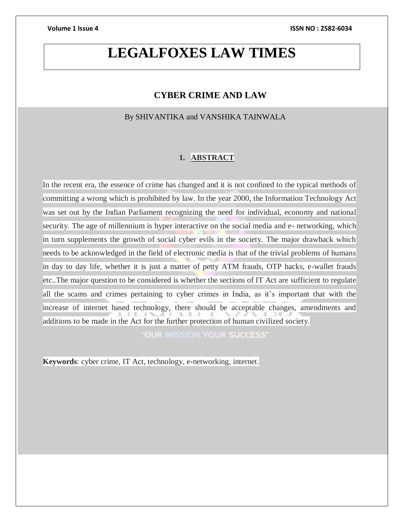# **LEGALFOXES LAW TIMES**

### **CYBER CRIME AND LAW**

By SHIVANTIKA and VANSHIKA TAINWALA

### **1. ABSTRACT**

In the recent era, the essence of crime has changed and it is not confined to the typical methods of committing a wrong which is prohibited by law. In the year 2000, the Information Technology Act was set out by the Indian Parliament recognizing the need for individual, economy and national security. The age of millennium is hyper interactive on the social media and e- networking, which in turn supplements the growth of social cyber evils in the society. The major drawback which needs to be acknowledged in the field of electronic media is that of the trivial problems of humans in day to day life, whether it is just a matter of petty ATM frauds, OTP hacks, e-wallet frauds etc..The major question to be considered is whether the sections of IT Act are sufficient to regulate all the scams and crimes pertaining to cyber crimes in India, as it's important that with the increase of internet based technology, there should be acceptable changes, amendments and additions to be made in the Act for the further protection of human civilized society.

"OUR MISSION YOUR SUCCESS"

**Keywords**: cyber crime, IT Act, technology, e-networking, internet.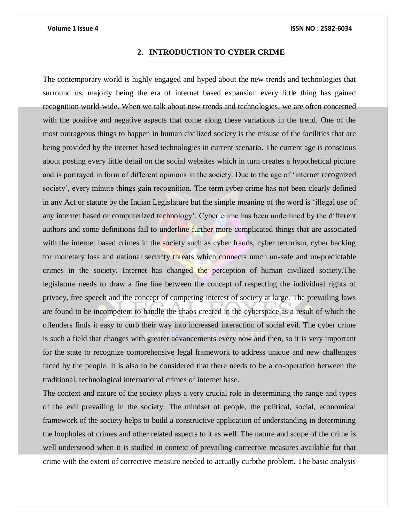#### **2. INTRODUCTION TO CYBER CRIME**

The contemporary world is highly engaged and hyped about the new trends and technologies that surround us, majorly being the era of internet based expansion every little thing has gained recognition world-wide. When we talk about new trends and technologies, we are often concerned with the positive and negative aspects that come along these variations in the trend. One of the most outrageous things to happen in human civilized society is the misuse of the facilities that are being provided by the internet based technologies in current scenario. The current age is conscious about posting every little detail on the social websites which in turn creates a hypothetical picture and is portrayed in form of different opinions in the society. Due to the age of 'internet recognized society', every minute things gain recognition. The term cyber crime has not been clearly defined in any Act or statute by the Indian Legislature but the simple meaning of the word is 'illegal use of any internet based or computerized technology'. Cyber crime has been underlined by the different authors and some definitions fail to underline further more complicated things that are associated with the internet based crimes in the society such as cyber frauds, cyber terrorism, cyber hacking for monetary loss and national security threats which connects much un-safe and un-predictable crimes in the society. Internet has changed the perception of human civilized society. The legislature needs to draw a fine line between the concept of respecting the individual rights of privacy, free speech and the concept of competing interest of society at large. The prevailing laws are found to be incompetent to handle the chaos created in the cyberspace as a result of which the offenders finds it easy to curb their way into increased interaction of social evil. The cyber crime is such a field that changes with greater advancements every now and then, so it is very important for the state to recognize comprehensive legal framework to address unique and new challenges faced by the people. It is also to be considered that there needs to be a co-operation between the traditional, technological international crimes of internet base.

The context and nature of the society plays a very crucial role in determining the range and types of the evil prevailing in the society. The mindset of people, the political, social, economical framework of the society helps to build a constructive application of understanding in determining the loopholes of crimes and other related aspects to it as well. The nature and scope of the crime is well understood when it is studied in context of prevailing corrective measures available for that crime with the extent of corrective measure needed to actually curbthe problem. The basic analysis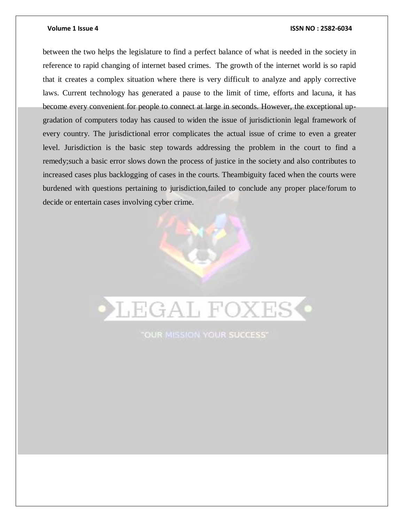between the two helps the legislature to find a perfect balance of what is needed in the society in reference to rapid changing of internet based crimes. The growth of the internet world is so rapid that it creates a complex situation where there is very difficult to analyze and apply corrective laws. Current technology has generated a pause to the limit of time, efforts and lacuna, it has become every convenient for people to connect at large in seconds. However, the exceptional upgradation of computers today has caused to widen the issue of jurisdictionin legal framework of every country. The jurisdictional error complicates the actual issue of crime to even a greater level. Jurisdiction is the basic step towards addressing the problem in the court to find a remedy;such a basic error slows down the process of justice in the society and also contributes to increased cases plus backlogging of cases in the courts. Theambiguity faced when the courts were burdened with questions pertaining to jurisdiction,failed to conclude any proper place/forum to decide or entertain cases involving cyber crime.

# **LEGAL FOXES**

"OUR MISSION YOUR SUCCESS"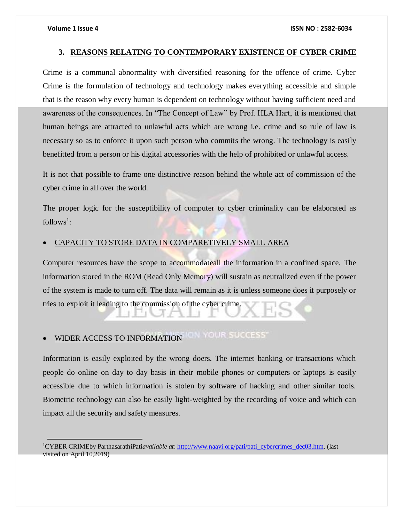$\overline{a}$ 

#### **3. REASONS RELATING TO CONTEMPORARY EXISTENCE OF CYBER CRIME**

Crime is a communal abnormality with diversified reasoning for the offence of crime. Cyber Crime is the formulation of technology and technology makes everything accessible and simple that is the reason why every human is dependent on technology without having sufficient need and awareness of the consequences. In "The Concept of Law" by Prof. HLA Hart, it is mentioned that human beings are attracted to unlawful acts which are wrong i.e. crime and so rule of law is necessary so as to enforce it upon such person who commits the wrong. The technology is easily benefitted from a person or his digital accessories with the help of prohibited or unlawful access.

It is not that possible to frame one distinctive reason behind the whole act of commission of the cyber crime in all over the world.

The proper logic for the susceptibility of computer to cyber criminality can be elaborated as  $follows<sup>1</sup>$ :

#### CAPACITY TO STORE DATA IN COMPARETIVELY SMALL AREA

Computer resources have the scope to accommodateall the information in a confined space. The information stored in the ROM (Read Only Memory) will sustain as neutralized even if the power of the system is made to turn off. The data will remain as it is unless someone does it purposely or tries to exploit it leading to the commission of the cyber crime.

# WIDER ACCESS TO INFORMATION TO THE SUCCESS'

Information is easily exploited by the wrong doers. The internet banking or transactions which people do online on day to day basis in their mobile phones or computers or laptops is easily accessible due to which information is stolen by software of hacking and other similar tools. Biometric technology can also be easily light-weighted by the recording of voice and which can impact all the security and safety measures.

<sup>1</sup>CYBER CRIMEby ParthasarathiPati*available at*[: http://www.naavi.org/pati/pati\\_cybercrimes\\_dec03.htm.](http://www.naavi.org/pati/pati_cybercrimes_dec03.htm) (last visited on April 10,2019)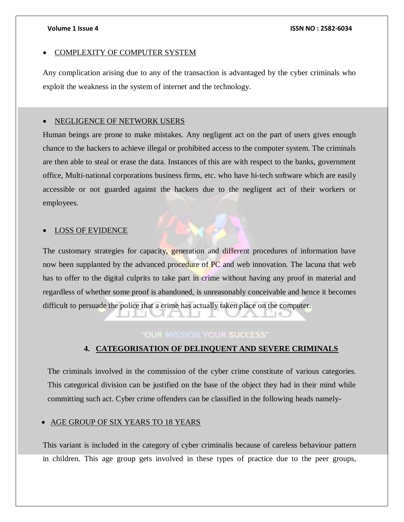### COMPLEXITY OF COMPUTER SYSTEM

Any complication arising due to any of the transaction is advantaged by the cyber criminals who exploit the weakness in the system of internet and the technology.

#### NEGLIGENCE OF NETWORK USERS

Human beings are prone to make mistakes. Any negligent act on the part of users gives enough chance to the hackers to achieve illegal or prohibited access to the computer system. The criminals are then able to steal or erase the data. Instances of this are with respect to the banks, government office, Multi-national corporations business firms, etc. who have hi-tech software which are easily accessible or not guarded against the hackers due to the negligent act of their workers or employees.

#### LOSS OF EVIDENCE

The customary strategies for capacity, generation and different procedures of information have now been supplanted by the advanced procedure of PC and web innovation. The lacuna that web has to offer to the digital culprits to take part in crime without having any proof in material and regardless of whether some proof is abandoned, is unreasonably conceivable and hence it becomes difficult to persuade the police that a crime has actually taken place on the computer.

### **"OUR MISSION YOUR SUCCESS"**

### **4. CATEGORISATION OF DELINQUENT AND SEVERE CRIMINALS**

The criminals involved in the commission of the cyber crime constitute of various categories. This categorical division can be justified on the base of the object they had in their mind while committing such act. Cyber crime offenders can be classified in the following heads namely-

#### AGE GROUP OF SIX YEARS TO 18 YEARS

This variant is included in the category of cyber criminalis because of careless behaviour pattern in children. This age group gets involved in these types of practice due to the peer groups,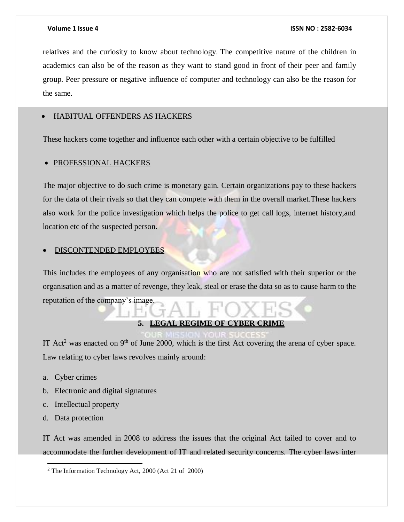relatives and the curiosity to know about technology. The competitive nature of the children in academics can also be of the reason as they want to stand good in front of their peer and family group. Peer pressure or negative influence of computer and technology can also be the reason for the same.

### HABITUAL OFFENDERS AS HACKERS

These hackers come together and influence each other with a certain objective to be fulfilled

#### • PROFESSIONAL HACKERS

The major objective to do such crime is monetary gain. Certain organizations pay to these hackers for the data of their rivals so that they can compete with them in the overall market.These hackers also work for the police investigation which helps the police to get call logs, internet history,and location etc of the suspected person.

#### DISCONTENDED EMPLOYEES

This includes the employees of any organisation who are not satisfied with their superior or the organisation and as a matter of revenge, they leak, steal or erase the data so as to cause harm to the reputation of the company's image.

#### **5. LEGAL REGIME OF CYBER CRIME**

IT Act<sup>2</sup> was enacted on 9<sup>th</sup> of June 2000, which is the first Act covering the arena of cyber space. Law relating to cyber laws revolves mainly around:

- a. Cyber crimes
- b. Electronic and digital signatures
- c. Intellectual property
- d. Data protection

 $\overline{a}$ 

IT Act was amended in 2008 to address the issues that the original Act failed to cover and to accommodate the further development of IT and related security concerns. The cyber laws inter

<sup>2</sup> The Information Technology Act, 2000 (Act 21 of 2000)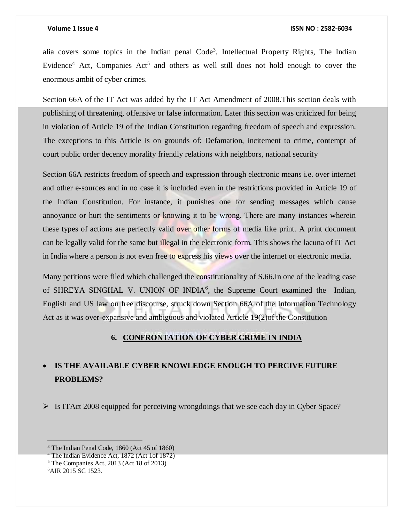alia covers some topics in the Indian penal  $Code<sup>3</sup>$ , Intellectual Property Rights, The Indian Evidence<sup>4</sup> Act, Companies  $Act<sup>5</sup>$  and others as well still does not hold enough to cover the enormous ambit of cyber crimes.

Section 66A of the IT Act was added by the IT Act Amendment of 2008.This section deals with publishing of threatening, offensive or false information. Later this section was criticized for being in violation of Article 19 of the Indian Constitution regarding freedom of speech and expression. The exceptions to this Article is on grounds of: Defamation, incitement to crime, contempt of court public order decency morality friendly relations with neighbors, national security

Section 66A restricts freedom of speech and expression through electronic means i.e. over internet and other e-sources and in no case it is included even in the restrictions provided in Article 19 of the Indian Constitution. For instance, it punishes one for sending messages which cause annoyance or hurt the sentiments or knowing it to be wrong. There are many instances wherein these types of actions are perfectly valid over other forms of media like print. A print document can be legally valid for the same but illegal in the electronic form. This shows the lacuna of IT Act in India where a person is not even free to express his views over the internet or electronic media.

Many petitions were filed which challenged the constitutionality of S.66.In one of the leading case of SHREYA SINGHAL V. UNION OF INDIA<sup>6</sup>, the Supreme Court examined the Indian, English and US law on free discourse, struck down Section 66A of the Information Technology Act as it was over-expansive and ambiguous and violated Article 19(2)of the Constitution

#### **6. CONFRONTATION OF CYBER CRIME IN INDIA**

### **IS THE AVAILABLE CYBER KNOWLEDGE ENOUGH TO PERCIVE FUTURE PROBLEMS?**

 $\triangleright$  Is ITAct 2008 equipped for perceiving wrongdoings that we see each day in Cyber Space?

<sup>5</sup> The Companies Act, 2013 (Act 18 of 2013)

<sup>3</sup> The Indian Penal Code, 1860 (Act 45 of 1860)

<sup>4</sup> The Indian Evidence Act, 1872 (Act 1of 1872)

<sup>6</sup>AIR 2015 SC 1523.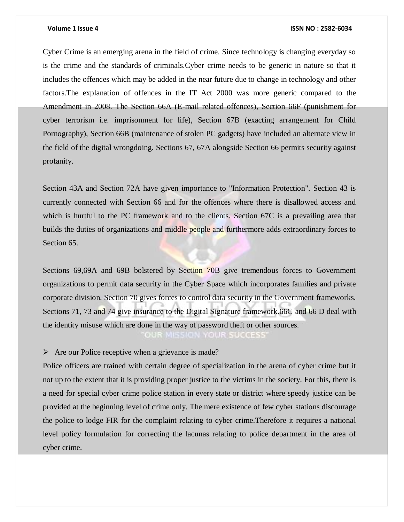Cyber Crime is an emerging arena in the field of crime. Since technology is changing everyday so is the crime and the standards of criminals.Cyber crime needs to be generic in nature so that it includes the offences which may be added in the near future due to change in technology and other factors.The explanation of offences in the IT Act 2000 was more generic compared to the Amendment in 2008. The Section 66A (E-mail related offences), Section 66F (punishment for cyber terrorism i.e. imprisonment for life), Section 67B (exacting arrangement for Child Pornography), Section 66B (maintenance of stolen PC gadgets) have included an alternate view in the field of the digital wrongdoing. Sections 67, 67A alongside Section 66 permits security against profanity.

Section 43A and Section 72A have given importance to "Information Protection". Section 43 is currently connected with Section 66 and for the offences where there is disallowed access and which is hurtful to the PC framework and to the clients. Section 67C is a prevailing area that builds the duties of organizations and middle people and furthermore adds extraordinary forces to Section 65.

Sections 69,69A and 69B bolstered by Section 70B give tremendous forces to Government organizations to permit data security in the Cyber Space which incorporates families and private corporate division. Section 70 gives forces to control data security in the Government frameworks. Sections 71, 73 and 74 give insurance to the Digital Signature framework.66C and 66 D deal with the identity misuse which are done in the way of password theft or other sources. **OUR MISSION CURSUCCESS** 

 $\triangleright$  Are our Police receptive when a grievance is made?

Police officers are trained with certain degree of specialization in the arena of cyber crime but it not up to the extent that it is providing proper justice to the victims in the society. For this, there is a need for special cyber crime police station in every state or district where speedy justice can be provided at the beginning level of crime only. The mere existence of few cyber stations discourage the police to lodge FIR for the complaint relating to cyber crime.Therefore it requires a national level policy formulation for correcting the lacunas relating to police department in the area of cyber crime.